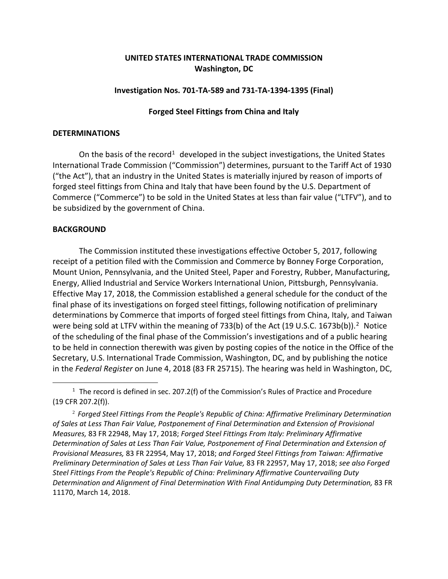# **UNITED STATES INTERNATIONAL TRADE COMMISSION Washington, DC**

## **Investigation Nos. 701-TA-589 and 731-TA-1394-1395 (Final)**

## **Forged Steel Fittings from China and Italy**

### **DETERMINATIONS**

On the basis of the record<sup>[1](#page-0-0)</sup> developed in the subject investigations, the United States International Trade Commission ("Commission") determines, pursuant to the Tariff Act of 1930 ("the Act"), that an industry in the United States is materially injured by reason of imports of forged steel fittings from China and Italy that have been found by the U.S. Department of Commerce ("Commerce") to be sold in the United States at less than fair value ("LTFV"), and to be subsidized by the government of China.

## **BACKGROUND**

 $\overline{a}$ 

The Commission instituted these investigations effective October 5, 2017, following receipt of a petition filed with the Commission and Commerce by Bonney Forge Corporation, Mount Union, Pennsylvania, and the United Steel, Paper and Forestry, Rubber, Manufacturing, Energy, Allied Industrial and Service Workers International Union, Pittsburgh, Pennsylvania. Effective May 17, 2018, the Commission established a general schedule for the conduct of the final phase of its investigations on forged steel fittings, following notification of preliminary determinations by Commerce that imports of forged steel fittings from China, Italy, and Taiwan were being sold at LTFV within the meaning of 733(b) of the Act (19 U.S.C. 1673b(b)).<sup>[2](#page-0-1)</sup> Notice of the scheduling of the final phase of the Commission's investigations and of a public hearing to be held in connection therewith was given by posting copies of the notice in the Office of the Secretary, U.S. International Trade Commission, Washington, DC, and by publishing the notice in the *Federal Register* on June 4, 2018 (83 FR 25715). The hearing was held in Washington, DC,

<span id="page-0-0"></span> $1$  The record is defined in sec. 207.2(f) of the Commission's Rules of Practice and Procedure (19 CFR 207.2(f)).

<span id="page-0-1"></span><sup>2</sup> *Forged Steel Fittings From the People's Republic of China: Affirmative Preliminary Determination of Sales at Less Than Fair Value, Postponement of Final Determination and Extension of Provisional Measures,* 83 FR 22948, May 17, 2018; *Forged Steel Fittings From Italy: Preliminary Affirmative Determination of Sales at Less Than Fair Value, Postponement of Final Determination and Extension of Provisional Measures,* 83 FR 22954, May 17, 2018; *and Forged Steel Fittings from Taiwan: Affirmative Preliminary Determination of Sales at Less Than Fair Value,* 83 FR 22957, May 17, 2018; *see also Forged Steel Fittings From the People's Republic of China: Preliminary Affirmative Countervailing Duty Determination and Alignment of Final Determination With Final Antidumping Duty Determination,* 83 FR 11170, March 14, 2018.